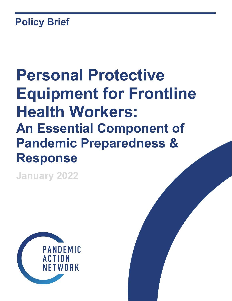## **Policy Brief**

# **Personal Protective Equipment for Frontline Health Workers: An Essential Component of Pandemic Preparedness & Response**

**January 2022**

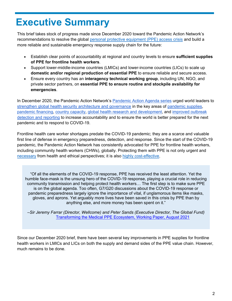### **Executive Summary**

This brief takes stock of progress made since December 2020 toward the Pandemic Action Network's recommendations to resolve the global [personal protective equipment \(PPE\) access crisis](https://pandemicactionnetwork.org/wp-content/uploads/2020/12/Pandemic-Action-Agenda-PPE.pdf) and build a more reliable and sustainable emergency response supply chain for the future:

- Establish clear points of accountability at regional and country levels to ensure **sufficient supplies of PPE for frontline health workers**.
- Support lower-middle-income countries (LMICs) and lower-income countries (LICs) to scale up **domestic and/or regional production of essential PPE** to ensure reliable and secure access.
- Ensure every country has an **interagency technical working group**, including UN, NGO, and private sector partners, on **essential PPE to ensure routine and stockpile availability for emergencies**.

In December 2020, the Pandemic Action Network's [Pandemic Action Agenda series](https://pandemicactionnetwork.org/pandemic-action-agenda-what-world-leaders-should-do-to-help-prevent-the-next-pandemic/) urged world leaders to [strengthen global health security architecture and governance](https://pandemicactionnetwork.org/wp-content/uploads/2020/10/Pandemic-Action-Network_Global-Health-Security-Agenda-for-Action.pdf) in the key areas of [pandemic supplies,](https://pandemicactionnetwork.org/wp-content/uploads/2020/12/Pandemic-Action-Agenda-PPE.pdf) [pandemic financing,](https://pandemicactionnetwork.org/wp-content/uploads/2020/11/Pandemic-Action-Agenda-Financing.pdf) [country capacity,](https://pandemicactionnetwork.org/wp-content/uploads/2020/11/Pandemic-Action-Agenda-Country-Capacity.pdf-Action-Agenda-Country-Capacity.pdf11/Pandemic-Action-Agenda-Country-Capacity.pdf) [global health research and development,](https://pandemicactionnetwork.org/wp-content/uploads/2020/11/Pandemic-Action-Agenda-RD.pdf) and [improved outbreak](https://pandemicactionnetwork.org/wp-content/uploads/2020/11/Pandemic-Action-Agenda-Outbreak-Detection.pdf)  [detection and reporting](https://pandemicactionnetwork.org/wp-content/uploads/2020/11/Pandemic-Action-Agenda-Outbreak-Detection.pdf) to increase accountability and to ensure the world is better prepared for the next pandemic and to respond to COVID-19.

Frontline health care worker shortages predate the COVID-19 pandemic; they are a scarce and valuable first line of defense in emergency preparedness, detection, and response. Since the start of the COVID-19 pandemic, the Pandemic Action Network has consistently advocated for PPE for frontline health workers, including community health workers (CHWs), globally. Protecting them with PPE is not only urgent and [necessary](https://www.ncbi.nlm.nih.gov/pmc/articles/PMC7844929) from health and ethical perspectives; it is also [highly cost-effective.](https://journals.plos.org/plosone/article?id=10.1371/journal.pone.0240503)

"Of all the elements of the COVID-19 response, PPE has received the least attention. Yet the humble face-mask is the unsung hero of the COVID-19 response, playing a crucial role in reducing community transmission and helping protect health workers… The first step is to make sure PPE is on the global agenda. Too often, G7/G20 discussions about the COVID-19 response or pandemic preparedness largely ignore the importance of vital, if unglamorous items like masks, gloves, and aprons. Yet arguably more lives have been saved in this crisis by PPE than by anything else, and more money has been spent on it."

*–Sir Jeremy Farrar (Director, Wellcome) and Peter Sands (Executive Director, The Global Fund)* [Transforming the Medical PPE Ecosystem, Working Paper, August 2021](https://www.theglobalfund.org/media/11243/publication_ppe-synthesis_paper_en.pdf)

Since our December 2020 brief, there have been several key improvements in PPE supplies for frontline health workers in LMICs and LICs on both the supply and demand sides of the PPE value chain. However, much remains to be done.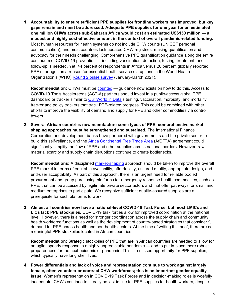**1. Accountability to ensure sufficient PPE supplies for frontline workers has improved, but key gaps remain and must be addressed. Adequate PPE supplies for one year for an estimated one million CHWs across sub-Saharan Africa would cost an estimated US\$150 million — a modest and highly cost-effective amount in the context of overall pandemic-related funding.** Most human resources for health systems do not include CHW counts (UNICEF personal communication), and most countries lack updated CHW registries, making quantification and advocacy for their needs challenging. Comprehensive PPE quantification guidance along the entire continuum of COVID-19 prevention — including vaccination, detection, testing, treatment, and follow-up is needed. Yet, 44 percent of respondents in Africa versus 26 percent globally reported PPE shortages as a reason for essential health service disruptions in the World Health Organization's (WHO) [Round 2 pulse survey](https://www.who.int/teams/integrated-health-services/monitoring-health-services/national-pulse-survey-on-continuity-of-essential-health-services-during-the-covid-19-pandemic/dashboard) (January-March 2021).

**Recommendation:** CHWs must be [counted](http://rebrand.ly/chwml) — guidance now exists on how to do this. Access to COVID-19 Tools Accelerator's (ACT-A) partners should invest in a public-access global PPE dashboard or tracker similar to [Our World in Data'](https://ourworldindata.org/coronavirus)s testing, vaccination, morbidity, and mortality tracker and policy trackers that track PPE-related progress. This could be combined with other efforts to improve the visibility of demand and supply for PPE and other commodities via control towers.

**2. Several African countries now manufacture some types of PPE; comprehensive marketshaping approaches must be strengthened and sustained.** The International Finance Corporation and development banks have partnered with governments and the private sector to build this self-reliance, and the [Africa Continental Free Trade Area](https://afcfta.au.int/en) (AfCFTA) agreement could significantly simplify the flow of PPE and other supplies across national borders. However, raw material scarcity and supply chain disruptions continue to create bottlenecks.

**Recommendations:** A disciplined [market-shaping](https://www.usaid.gov/sites/default/files/documents/1864/healthymarkets_primer.pdf) approach should be taken to improve the overall PPE market in terms of equitable availability, affordability, assured quality, appropriate design, and end-user acceptability. As part of this approach, there is an urgent need for reliable pooled procurement and group purchasing platforms for emergency response health commodities, such as PPE, that can be accessed by legitimate private sector actors and that offer pathways for small and medium enterprises to participate. We recognize sufficient quality-assured supplies are a prerequisite for such platforms to work.

**3. Almost all countries now have a national-level COVID-19 Task Force, but most LMICs and LICs lack PPE stockpiles.** COVID-19 task forces allow for improved coordination at the national level. However, there is a need for stronger coordination across the supply chain and community health workforce functions as well as the development of country-based strategies that consider full demand for PPE across health and non-health sectors. At the time of writing this brief, there are no meaningful PPE stockpiles located in African countries.

**Recommendation:** Strategic stockpiles of PPE that are in African countries are needed to allow for an agile, speedy response in a highly unpredictable pandemic — and to put in place more robust preparedness for the next epidemic or pandemic. This is a missed opportunity for PPE supplies, which typically have long shelf lives.

**4. Power differentials and lack of voice and representation continue to work against largely female, often volunteer or contract CHW workforces; this is an important gender equality issue.** Women's representation in COVID-19 Task Forces and in decision-making roles is woefully inadequate. CHWs continue to literally be last in line for PPE supplies for health workers, despite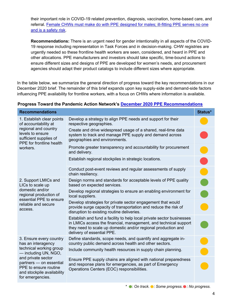their important role in COVID-19 related prevention, diagnosis, vaccination, home-based care, and referral. [Female CHWs must make do with PPE designed for males; ill-fitting PPE serves no one](https://www.womeningh.org/fitforwomen)  [and is a safety risk.](https://www.womeningh.org/fitforwomen)

**Recommendations:** There is an urgent need for gender intentionality in all aspects of the COVID-19 response including representation in Task Forces and in decision-making. CHW registries are urgently needed so these frontline health workers are seen, considered, and heard in PPE and other allocations. PPE manufacturers and investors should take specific, time-bound actions to ensure different sizes and designs of PPE are developed for women's needs, and procurement agencies should adapt their product catalogs to include different sizes where appropriate.

In the table below, we summarize the general direction of progress toward the key recommendations in our December 2020 brief. The remainder of this brief expands upon key supply-side and demand-side factors influencing PPE availability for frontline workers, with a focus on CHWs where information is available.

| Progress Toward the Pandemic Action Network's December 2020 PPE Recommendations |  |
|---------------------------------------------------------------------------------|--|
|---------------------------------------------------------------------------------|--|

| <b>Recommendations</b>                                                                                                                                                                                                       |                                                                                                                                                                                                                                          | Status*        |
|------------------------------------------------------------------------------------------------------------------------------------------------------------------------------------------------------------------------------|------------------------------------------------------------------------------------------------------------------------------------------------------------------------------------------------------------------------------------------|----------------|
| 1. Establish clear points<br>of accountability at<br>regional and country<br>levels to ensure<br>sufficient supplies of<br>PPE for frontline health<br>workers.                                                              | Develop a strategy to align PPE needs and support for their<br>respective geographies.                                                                                                                                                   |                |
|                                                                                                                                                                                                                              | Create and drive widespread usage of a shared, real-time data<br>system to track and manage PPE supply and demand across<br>geographies and environments.                                                                                |                |
|                                                                                                                                                                                                                              | Promote greater transparency and accountability for procurement<br>and delivery.                                                                                                                                                         |                |
|                                                                                                                                                                                                                              | Establish regional stockpiles in strategic locations.                                                                                                                                                                                    |                |
|                                                                                                                                                                                                                              | Conduct post-event reviews and regular assessments of supply<br>chain resiliency.                                                                                                                                                        |                |
| 2. Support LMICs and<br>LICs to scale up<br>domestic and/or<br>regional production of<br>essential PPE to ensure<br>reliable and secure<br>access.                                                                           | Design norms and standards for acceptable levels of PPE quality<br>based on expected services.                                                                                                                                           | $\blacksquare$ |
|                                                                                                                                                                                                                              | Develop regional strategies to ensure an enabling environment for<br>local suppliers.                                                                                                                                                    |                |
|                                                                                                                                                                                                                              | Develop strategies for private sector engagement that would<br>provide surge capacity of transportation and reduce the risk of<br>disruption to existing routine deliveries.                                                             |                |
|                                                                                                                                                                                                                              | Establish and fund a facility to help local private sector businesses<br>in LMICs access the financial, management, and technical support<br>they need to scale up domestic and/or regional production and<br>delivery of essential PPE. |                |
| 3. Ensure every country<br>has an interagency<br>technical working group<br>— including UN, NGO,<br>and private sector<br>partners - on essential<br>PPE to ensure routine<br>and stockpile availability<br>for emergencies. | Define standards, scope needs, and quantify and aggregate in-<br>country public demand across health and other sectors.                                                                                                                  |                |
|                                                                                                                                                                                                                              | Include community health resources in supply chain planning.                                                                                                                                                                             |                |
|                                                                                                                                                                                                                              | Ensure PPE supply chains are aligned with national preparedness<br>and response plans for emergencies, as part of Emergency<br>Operations Centers (EOC) responsibilities.                                                                |                |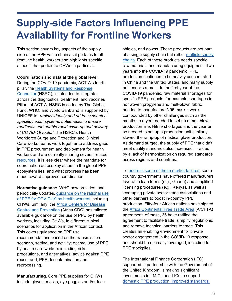### **Supply-side Factors Influencing PPE Availability for Frontline Workers**

This section covers key aspects of the supply side of the PPE value chain as it pertains to all frontline health workers and highlights specific aspects that pertain to CHWs in particular.

**Coordination and data at the global level.**

During the COVID-19 pandemic, ACT-A's fourth pillar, the [Health Systems and Response](https://hlh.who.int/act-a-hsrc-connector)  [Connector](https://hlh.who.int/act-a-hsrc-connector) (HSRC), is intended to integrate across the diagnostics, treatment, and vaccines Pillars of ACT-A. HSRC is co-led by The Global Fund, WHO, and World Bank and is supported by UNICEF to *"rapidly identify and address countryspecific health systems bottlenecks to ensure readiness and enable rapid scale-up and delivery of COVID-19 tools."* The HSRC's Health Workforce Surge and Protection and Clinical Care workstreams work together to address gaps in PPE procurement and deployment for health workers and are currently sharing several related [resources.](https://data.covid19taskforce.com/data) It is less clear where the mandate for coordination across key actors in the global PPE ecosystem lies, and what progress has been made toward improved coordination.

**Normative guidance.** WHO now provides, and periodically updates, [guidance on the rational use](https://www.who.int/publications/i/item/rational-use-of-personal-protective-equipment-for-coronavirus-disease-(covid-19)-and-considerations-during-severe-shortages)  [of PPE for COVID-19 by health workers](https://www.who.int/publications/i/item/rational-use-of-personal-protective-equipment-for-coronavirus-disease-(covid-19)-and-considerations-during-severe-shortages) including CHWs. Similarly, the [Africa Centers for Disease](https://africacdc.org/download/personal-protective-equipment-for-different-clinical-settings-and-activities/)  [Control and](https://africacdc.org/download/personal-protective-equipment-for-different-clinical-settings-and-activities/) Prevention (Africa CDC) has tailored available guidance on the use of PPE by health workers, including CHWs, in different clinical scenarios for application in the African context. This covers guidance on PPE use recommendations based on the transmission scenario, setting, and activity; optimal use of PPE by health care workers including risks, precautions, and alternatives; advice against PPE reuse; and, PPE decontamination and reprocessing.

**Manufacturing.** Core PPE supplies for CHWs include gloves, masks, eye goggles and/or face shields, and gowns. These products are not part of a single supply chain but rather [multiple supply](https://www.adb.org/publications/shortage-ppe-covid-19-supply-chains-bottlenecks-policy)  [chains.](https://www.adb.org/publications/shortage-ppe-covid-19-supply-chains-bottlenecks-policy) Each of these products needs specific raw materials and manufacturing equipment. Two years into the COVID-19 pandemic, PPE production continues to be heavily concentrated in China and the United States, and many supply bottlenecks remain. In the first year of the COVID-19 pandemic, raw material shortages for specific PPE products, for example, shortages in nonwoven propylene and melt-blown fabric needed to manufacture N95 masks, were compounded by other challenges such as the months to a year needed to set up a melt-blown production line. Nitrile shortages and the year or so needed to set up a production unit similarly slowed the ramp-up of medical glove production. As demand surged, the supply of PPE that didn't meet quality standards also increased — aided by a lack of harmonization on required standards across regions and countries.

To [address some of these market failures,](https://institute.global/policy/covid-19-blueprint-tackling-ppe-shortages-provides-lessons-accelerating-africas) some country governments have offered manufacturers favorable loan terms (e.g., Ghana) and simplified licensing procedures (e.g., Kenya), as well as leveraging private sector trade associations and other partners to boost in-country PPE production. Fifty-four African nations have signed the [Africa Continental Free Trade Area](https://openknowledge.worldbank.org/bitstream/handle/10986/34139/9781464815591.pdf) (AfCFTA) agreement; of these, 36 have ratified the agreement to facilitate trade, simplify regulations, and remove technical barriers to trade. This creates an enabling environment for private sector engagement in the COVID-19 response and should be optimally leveraged, including for PPE stockpiles.

The International Finance Corporation (IFC), supported in partnership with the Government of the United Kingdom, is making significant investments in LMICs and LICs to support [domestic PPE production, improved standards,](https://www.ifc.org/wps/wcm/connect/industry_ext_content/ifc_external_corporate_site/manufacturing/priorities/ppe+production)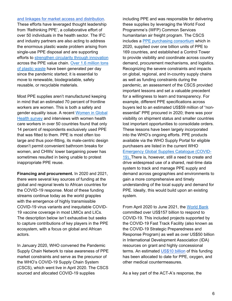#### [and linkages for market access and distribution.](https://www.ifc.org/wps/wcm/connect/industry_ext_content/ifc_external_corporate_site/manufacturing/priorities/ppe+production)

These efforts have leveraged thought leadership from 'Rethinking PPE', a collaborative effort of over 50 individuals in the health sector. The IFC and industry partners are also acting to address the enormous plastic waste problem arising from single-use PPE disposal and are supporting efforts to [strengthen circularity through innovation](https://www.ifc.org/wps/wcm/connect/9c307ecf-b68d-4638-9a0c-df3a65f65c3b/IFC+PPE+FA+v2_WEB.pdf?MOD=AJPERES&CVID=nQ0WWOj) across the PPE value chain. [Over 1.6 million tons](https://www.sciencedirect.com/science/article/pii/S2405844021004485)  [of plastic waste](https://www.sciencedirect.com/science/article/pii/S2405844021004485) have been generated per day since the pandemic started; it is essential to move to renewable, biodegradable, safely reusable, or recyclable materials.

Most PPE supplies aren't manufactured keeping in mind that an estimated 70 percent of frontline workers are women. This is both a safety and gender equality issue. A recent [Women in Global](https://c8fbe10e-fb87-47e7-844b-4e700959d2d4.filesusr.com/ugd/ffa4bc_127fbd76602a4eefb5bb34be5fdd269f.pdf?index=true)  [Health survey](https://c8fbe10e-fb87-47e7-844b-4e700959d2d4.filesusr.com/ugd/ffa4bc_127fbd76602a4eefb5bb34be5fdd269f.pdf?index=true) and interviews with women health care workers in over 50 countries found that only 14 percent of respondents exclusively used PPE that was fitted to them. PPE is most often too large and thus poor-fitting, its male-centric design doesn't permit convenient bathroom breaks for women, and CHWs' lower bargaining power has sometimes resulted in being unable to protest inappropriate PPE reuse.

**Financing and procurement.** In 2020 and 2021, there were several key sources of funding at the global and regional levels to African countries for the COVID-19 response. Most of these funding streams continue today as the world grapples with the emergence of highly transmissible COVID-19 virus variants and inequitable COVID-19 vaccine coverage in most LMICs and LICs. The description below isn't exhaustive but seeks to capture contributions of key players in the PPE ecosystem, with a focus on global and African actors.

In January 2020, WHO convened the Pandemic Supply Chain Network to raise awareness of PPE market constraints and serve as the precursor of the WHO's COVID-19 Supply Chain System (CSCS), which went live in April 2020. The CSCS sourced and allocated COVID-19 supplies

including PPE and was responsible for delivering these supplies by leveraging the World Food Programme's (WFP) Common Services humanitarian air freight program. The CSCS includes a [PPE purchasing consortium](https://www.who.int/publications/m/item/assessment-of-the-covid-19-supply-chain-system-report) which in 2020, supplied over one billion units of PPE to 169 countries, and established a Control Tower to provide visibility and coordinate across country demand, procurement mechanisms, and logistics. Recognizing the severe constraints and impacts on global, regional, and in-country supply chains as well as funding constraints during the pandemic, an assessment of the CSCS provided important lessons and set a valuable precedent for a willingness to learn and transparency. For example, different PPE specifications across buyers led to an estimated US\$59 million of "nonessential" PPE procured in 2020; there was poor visibility on shipment status and smaller countries lost important opportunities to consolidate orders. These lessons have been largely incorporated into the WHO's ongoing efforts. PPE products available via the WHO Supply Portal for eligible purchasers are listed in the current WHO [Emergency Global Supplies Catalogue \(COVID-](about:blank)[19\).](about:blank) There is, however, still a need to create and drive widespread use of a shared, real-time data system to track and manage PPE supply and demand across geographies and environments to gain a more comprehensive and timely understanding of the local supply and demand for PPE. Ideally, this would build upon an existing system.

From April 2020 to June 2021, the [World Bank](https://www.worldbank.org/en/about/what-we-do/brief/world-bank-group-operational-response-covid-19-coronavirus-projects-list) committed over US\$157 billion to respond to COVID-19. This included projects supported by the COVID-19 Fast Track Facility (also known as the COVID-19 Strategic Preparedness and Response Program) as well as over US\$50 billion in International Development Association (IDA) resources on grant and highly concessional terms. An estimated [US\\$10 billion](https://www.worldbank.org/en/news/speech/2021/12/06/remarks-by-wbg-president-david-malpass-usaid-development-ministerial-on-covid-19) of this funding has been allocated to date for PPE, oxygen, and other medical countermeasures.

As a key part of the ACT-A's response, the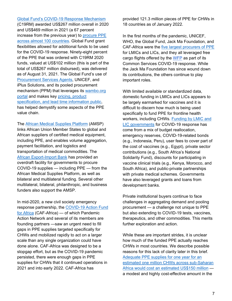[Global Fund's COVID-19 Response Mechanism](https://www.theglobalfund.org/en/covid-19/response-mechanism/) (C19RM) awarded US\$267 million overall in 2020 and US\$469 million in 2021 (a 67 percent increase from the previous year) to procure PPE [across almost 100 countries.](https://www.theglobalfund.org/media/11400/covid19_2021-09-29-board_update_en.pdf) Global Fund grant flexibilities allowed for additional funds to be used for the COVID-19 response. Ninety-eight percent of the PPE that was ordered with C19RM 2020 funds, valued at US\$102 million (this is part of the total of US\$267 million disbursed), was delivered as of August 31, 2021. The Global Fund's use of [Procurement Services Agents,](https://www.theglobalfund.org/media/8668/ppm_procurementservicesagentfees_list_en.pdf) UNICEF, and iPlus Solutions, and its pooled procurement mechanism (PPM) that leverages its wambo.org [portal](https://www.theglobalfund.org/media/10161/covid19_personalprotectiveequipmentoxygentproducts_list_en.pdf?u=637381036161630000) and makes key [pricing, product](https://www.theglobalfund.org/media/10755/psm_categoryproductlevelprocurementdeliveryplanning_guide_en.pdf)  [specification, and lead time information public,](https://www.theglobalfund.org/media/10755/psm_categoryproductlevelprocurementdeliveryplanning_guide_en.pdf) has helped demystify some aspects of the PPE value chain.

The [African Medical Supplies Platform](https://amsp.africa/) (AMSP) links African Union Member States to global and African suppliers of certified medical equipment, including PPE, and enables volume aggregation, payment facilitation, and logistics and transportation of medical commodities. The [African Export-Import Bank](https://www.cabri-sbo.org/uploads/files/Documents/CABRI-Working-Paper-COVID-19-vaccine-financing-procurement-and-distribution-in-African-ministries-of-finance-and-health.pdf) has provided an overdraft facility for governments to procure COVID-19 supplies — including PPE — from the African Medical Supplies Platform, as well as bilateral and multilateral funding. Several other multilateral, bilateral, philanthropic, and business funders also support the AMSP.

In mid-2020, a new civil society emergency response partnership, the [COVID-19 Action Fund](https://cafafrica.org/)  [for Africa](https://cafafrica.org/) (CAF-Africa) — of which Pandemic Action Network and several of its members are founding partners —saw an urgent need to fill gaps in PPE supplies targeted specifically for CHWs and mobilized rapidly to act on a larger scale than any single organization could have done alone. CAF-Africa was designed to be a stopgap effort, but as the COVID-19 pandemic persisted, there were enough gaps in PPE supplies for CHWs that it continued operations in 2021 and into early 2022. CAF-Africa has

provided 121.3 million pieces of PPE for CHWs in 18 countries as of January 2022.

In the first months of the pandemic, UNICEF, WHO, the Global Fund, Jack Ma Foundation, and CAF-Africa were the [five largest procurers of PPE](https://cafafrica.org/wp-content/plugins/pdf-poster/pdfjs/web/viewer.html?file=https://cafafrica.org/wp-content/uploads/2020/11/VR_CAF-Africa_FullReport_final-1.pdf&download=true&print=true&openfile=false) for LMICs and LICs, and they all leveraged free cargo flights offered by the [WFP](https://docs.wfp.org/api/documents/WFP-0000123667/download/?_ga=2.105443459.1053546843.1642212430-1603750209.1642212430) as part of its Common Services COVID-19 response. While the Jack Ma Foundation has since wound down its contributions, the others continue to play important roles.

With limited available or standardized data, domestic funding in LMICs and LICs appears to be largely earmarked for vaccines and it is difficult to discern how much is being used specifically to fund PPE for frontline health workers, including CHWs. Funding by LMIC and [LIC governments](https://www.cabri-sbo.org/uploads/files/Documents/CABRI-Working-Paper-COVID-19-vaccine-financing-procurement-and-distribution-in-African-ministries-of-finance-and-health.pdf) for COVID-19 response has come from a mix of budget reallocation, emergency reserves, COVID-19-related bonds (e.g., Indonesia, Peru), user fees to cover part of the cost of vaccines (e.g., Egypt), private sector contributions (e.g., South Africa's National Solidarity Fund), discounts for participating in vaccine clinical trials (e.g., Kenya, Morocco, and South Africa), and public-private partnerships with private medical schemes. Governments have also leveraged grants and loans from development banks.

Private institutional buyers continue to face challenges in aggregating demand and pooling procurement — a challenge not unique to PPE but also extending to COVID-19 tests, vaccines, therapeutics, and other commodities. This merits further exploration and action.

While these are important strides, it is unclear how much of the funded PPE actually reaches CHWs in most countries. We describe possible reasons for this lack of clarity later in this brief. [Adequate PPE supplies for one year for an](https://www.cgdev.org/publication/protecting-community-health-workers-ppe-needs-and-recommendations-policy-action)  [estimated one million CHWs across sub-Saharan](https://www.cgdev.org/publication/protecting-community-health-workers-ppe-needs-and-recommendations-policy-action)  [Africa would cost an estimated US\\$150 million](https://www.cgdev.org/publication/protecting-community-health-workers-ppe-needs-and-recommendations-policy-action) a modest and highly cost-effective amount in the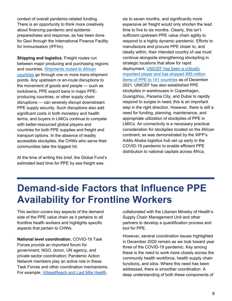context of overall pandemic-related funding. There is an opportunity to think more creatively about financing pandemic and epidemic preparedness and response, as has been done for Gavi through the International Finance Facility for Immunisation (IFFIm).

**Shipping and logistics.** Freight routes run between major producing and purchasing regions and countries. [Shipments routed to African](https://www.adb.org/publications/shortage-ppe-covid-19-supply-chains-bottlenecks-policy)  [countries](https://www.adb.org/publications/shortage-ppe-covid-19-supply-chains-bottlenecks-policy) go through one or more trans-shipment points. Any upstream or en-route disruptions to the movement of goods and people — such as lockdowns, PPE export bans in major PPEproducing countries, or other supply chain disruptions — can severely disrupt downstream PPE supply security. Such disruptions also add significant costs in both monetary and health terms, and buyers in LMICs continue to compete with better-resourced global players and countries for both PPE supplies and freight and transport options. In the absence of readily accessible stockpiles, the CHWs who serve their communities take the biggest hit.

At the time of writing this brief, the Global Fund's estimated lead time for PPE by sea freight was

six to seven months, and significantly more expensive air freight would only shorten the lead time to five to six months. Clearly, this isn't sufficient upstream PPE value chain agility to respond to a highly dynamic pandemic. Efforts to manufacture and procure PPE closer to, and ideally within, their intended country of use must continue alongside strengthening stockpiling in strategic locations that allow for rapid deployment. [UNICEF has been a critically](https://www.unicef.org/supply/stories/protecting-front-line-why-access-quality-ppe-remains-critical-during-pandemic)  [important player and has shipped 895 million](https://www.unicef.org/supply/stories/protecting-front-line-why-access-quality-ppe-remains-critical-during-pandemic)  [items of PPE to 141 countries](https://www.unicef.org/supply/stories/protecting-front-line-why-access-quality-ppe-remains-critical-during-pandemic) as of December 2021. UNICEF has also established PPE stockpiles in warehouses in Copenhagen, Guangzhou, Panama City, and Dubai to rapidly respond to surges in need; this is an important step in the right direction. However, there is still a need for funding, planning, maintenance, and appropriate utilization of stockpiles of PPE in LMICs. Air connectivity is a necessary practical consideration for stockpiles located on the African continent, as was demonstrated by the WFP's Addis Ababa logistics hub set up early in the COVID-19 pandemic to enable efficient PPE distribution to national capitals across Africa.

### **Demand-side Factors that Influence PPE Availability for Frontline Workers**

This section covers key aspects of the demand side of the PPE value chain as it pertains to all frontline health workers and highlights specific aspects that pertain to CHWs.

**National level coordination.** COVID-19 Task Forces provide an important forum for government, NGO, donor, UN agency, and private sector coordination; Pandemic Action Network members play an active role in these Task Forces and other coordination mechanisms. For example, [VillageReach and Last Mile Health](https://www.villagereach.org/arming-community-health-workers-for-battle/)

collaborated with the Liberian Ministry of Health's Supply Chain Management Unit and other partners to develop a quantification process and [tool for PPE.](https://www.villagereach.org/wp-content/uploads/2020/05/PPE_Quantification-and-Forecasting_Tool.xlsx)

However, several coordination issues highlighted in December 2020 remain as we look toward year three of the COVID-19 pandemic. Key among these is the need to work more closely across the community health workforce, health supply chain functions, and silos. Where this need has been addressed, there is smoother coordination. A deep understanding of both these components of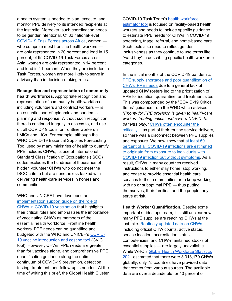a health system is needed to plan, execute, and monitor PPE delivery to its intended recipients at the last mile. Moreover, such coordination needs to be gender intentional. Of 82 national-level [COVID-19 Task Forces across Africa,](https://www.undp.org/sites/g/files/zskgke326/files/2021-11/undp-unwomen-upitt-covid19-task-force-participation-en-v3.pdf) women who comprise most frontline health workers are only represented in 20 percent and lead in 15 percent; of 95 COVID-19 Task Forces across Asia, women are only represented in 14 percent and lead in 11 percent. When they are included in Task Forces, women are more likely to serve in advisory than in decision-making roles.

#### **Recognition and representation of community**

**health workforces.** Appropriate recognition and representation of community health workforces including volunteers and contract workers — is an essential part of epidemic and pandemic planning and response. Without such recognition, there is continued inequity in access to, and use of, all COVID-19 tools for frontline workers in LMICs and LICs. For example, although the WHO COVID-19 Essential Supplies Forecasting Tool used by many ministries of health to quantify PPE includes CHWs, its use of International Standard Classification of Occupations (ISCO) codes excludes the hundreds of thousands of hidden volunteer CHWs who do not meet the ISCO criteria but are nonetheless tasked with delivering health-care services in homes and communities.

WHO and UNICEF have developed an [implementation support guide on the role of](https://hlh.who.int/docs/librariesprovider4/health-workforce/role-of-community-health-workers-in-covid-19-vaccination.pdf?Status=Master&sfvrsn=69436b87_5)  [CHWs in COVID-19 vaccination](https://hlh.who.int/docs/librariesprovider4/health-workforce/role-of-community-health-workers-in-covid-19-vaccination.pdf?Status=Master&sfvrsn=69436b87_5) that highlights their critical roles and emphasizes the importance of vaccinating CHWs as members of the essential health workforce. Frontline health workers' PPE needs can be quantified and budgeted with the WHO and UNICEF's [COVID-](https://www.who.int/publications/i/item/who-2019-ncov-vaccine_deployment_tool-2021.1)[19 vaccine introduction and costing tool](https://www.who.int/publications/i/item/who-2019-ncov-vaccine_deployment_tool-2021.1) (CVIC tool). However, CHWs' PPE needs are greater than for vaccines alone, and comprehensive PPE quantification guidance along the entire continuum of COVID-19 prevention, detection, testing, treatment, and follow-up is needed. At the time of writing this brief, the Global Health Cluster COVID-19 Task Team's [health workforce](https://www.who.int/health-cluster/news-and-events/news/COVID-19-Health-workforce-estimator-tool/en/)  [estimator tool](https://www.who.int/health-cluster/news-and-events/news/COVID-19-Health-workforce-estimator-tool/en/) is focused on facility-based health workers and needs to include specific guidance to estimate PPE needs for CHWs in COVID-19 screening, triage, referral, and home-based care. Such tools also need to reflect gender inclusiveness as they continue to use terms like "ward boy" in describing specific health workforce categories.

In the initial months of the COVID-19 pandemic, [PPE supply shortages and poor quantification of](https://www.thinkglobalhealth.org/article/covid-19-it-aint-over-until-theres-ppe-all-over)  [CHWs' PPE needs](https://www.thinkglobalhealth.org/article/covid-19-it-aint-over-until-theres-ppe-all-over) due to a general lack of updated CHW rosters led to the prioritization of PPE for isolation, quarantine, and treatment sites. This was compounded by the "COVID-19 Critical Items" guidance from the WHO which advised: *"Priority for PPE provision is given to health-care workers treating critical and severe COVID-19 patients only."* [CHWs often encounter the](https://www.bbc.com/news/world-asia-india-52279025)  [critically ill](https://www.bbc.com/news/world-asia-india-52279025) as part of their routine service delivery, so there was a disconnect between PPE supplies and exposure. We now know that [at least 50](https://jamanetwork.com/journals/jamanetworkopen/fullarticle/2774707)  [percent of all COVID-19 infections are estimated](https://jamanetwork.com/journals/jamanetworkopen/fullarticle/2774707)  [to originate from exposure to individuals with](https://jamanetwork.com/journals/jamanetworkopen/fullarticle/2774707)  [COVID-19 infection but without symptoms.](https://jamanetwork.com/journals/jamanetworkopen/fullarticle/2774707) As a result, CHWs in many countries received instructions to either stay home, stop working, and cease to provide essential health care services to their communities or to keep working with no or suboptimal PPE — thus putting themselves, their families, and the people they serve at risk.

**Health Worker Quantification.** Despite some important strides upstream, it is still unclear how many PPE supplies are reaching CHWs at the last mile. [Routinely updated data on CHWs](https://www.unicef.org/media/113081/file/National-Georeferenced-Community-Health-Worker-Master-List-Hosted-in-a-Registry-2021.pdf) including official CHW counts, active status, service location, accreditation status, competencies, and CHW-maintained stocks of essential supplies — are largely unavailable. While WHO's [Global Health Workforce Statistics](https://apps.who.int/gho/data/node.main.HWFGRP_0180?lang=en)  [2021](https://apps.who.int/gho/data/node.main.HWFGRP_0180?lang=en) estimated that there were 3,313,170 CHWs globally, only 75 countries have provided data that comes from various sources. The available data are over a decade old for 40 percent of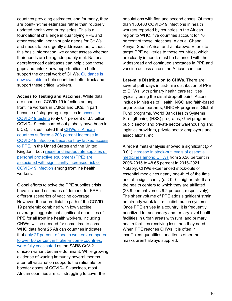countries providing estimates, and for many, they are point-in-time estimates rather than routinely updated health worker registries. This is a foundational challenge in quantifying PPE and other essential health supply needs for CHWs and needs to be urgently addressed as, without this basic information, we cannot assess whether their needs are being adequately met. National georeferenced databases can help close those gaps and unlock new opportunities to better support the critical work of CHWs. Guidance is [now available](http://rebrand.ly/chwml) to help countries better track and support these critical workers.

**Access to Testing and Vaccines.** While data are sparse on COVID-19 infection among frontline workers in LMICs and LICs, in part because of staggering inequities in [access to](https://www.who.int/publications/m/item/act-accelerator-quarterly-update-q3)  [COVID-19 testing](https://www.who.int/publications/m/item/act-accelerator-quarterly-update-q3) (only 0.4 percent of 3.3 billion COVID-19 tests carried out globally have been in LICs), it is estimated that [CHWs in African](https://www.un.org/africarenewal/magazine/january-2021/unsung-heroes-africa%E2%80%99s-covid-19-response)  [countries suffered a 203 percent increase in](https://www.un.org/africarenewal/magazine/january-2021/unsung-heroes-africa%E2%80%99s-covid-19-response)  [COVID-19 infections because they lacked access](https://www.un.org/africarenewal/magazine/january-2021/unsung-heroes-africa%E2%80%99s-covid-19-response)  [to PPE.](https://www.un.org/africarenewal/magazine/january-2021/unsung-heroes-africa%E2%80%99s-covid-19-response) In the United States and the United Kingdom, both [reuse and inadequate supplies of](https://www.thelancet.com/journals/lanpub/article/PIIS2468-2667(20)30164-X/fulltext)  [personal protective equipment \(PPE\) are](https://www.thelancet.com/journals/lanpub/article/PIIS2468-2667(20)30164-X/fulltext)  [associated with significantly increased risk of](https://www.thelancet.com/journals/lanpub/article/PIIS2468-2667(20)30164-X/fulltext)  [COVID-19 infection](https://www.thelancet.com/journals/lanpub/article/PIIS2468-2667(20)30164-X/fulltext) among frontline health workers.

Global efforts to solve the PPE supplies crisis have included estimates of demand for PPE in different scenarios of vaccine coverage. However, the unpredictable path of the COVID-19 pandemic combined with low vaccine coverage suggests that significant quantities of PPE for all frontline health workers, including CHWs, will be needed for some time to come. WHO data from 25 African countries indicates that only 27 percent [of health workers, compared](https://www.afro.who.int/news/only-1-4-african-health-workers-fully-vaccinated-against-covid-19)  [to over 80 percent in higher-income countries,](https://www.afro.who.int/news/only-1-4-african-health-workers-fully-vaccinated-against-covid-19)  [were fully vaccinated](https://www.afro.who.int/news/only-1-4-african-health-workers-fully-vaccinated-against-covid-19) as the SARS CoV-2 omicron variant became dominant. While growing evidence of waning immunity several months after full vaccination supports the rationale for booster doses of COVID-19 vaccines, most African countries are still struggling to cover their

populations with first and second doses. Of more than 150,400 COVID-19 infections in health workers reported by countries in the African region to WHO, five countries account for 70 percent of these infections: Algeria, Ghana, Kenya, South Africa, and Zimbabwe. Efforts to target PPE deliveries to these countries, which are clearly in need, must be balanced with the widespread and continued shortages in PPE and vaccine access across the African continent.

**Last-mile Distribution to CHWs.** There are several pathways in last-mile distribution of PPE to CHWs, with primary health care facilities typically being the distal drop-off point. Actors include Ministries of Health, NGO and faith-based organization partners, UNICEF programs, Global Fund programs, World Bank Health Systems Strengthening (HSS) programs, Gavi programs, public sector and private sector warehousing and logistics providers, private sector employers and associations, etc.

A recent meta-analysis showed a significant (*p* < 0.01) [increase in stock-out levels of essential](https://assets.researchsquare.com/files/rs-692874/v1/2427d964-565f-45ee-a798-94ea3173b4b4.pdf?c=1631886254)  [medicines among CHWs](https://assets.researchsquare.com/files/rs-692874/v1/2427d964-565f-45ee-a798-94ea3173b4b4.pdf?c=1631886254) from 26.36 percent in 2006-2015 to 48.65 percent in 2016-2021. Notably, CHWs experienced stock-outs of essential medicines nearly one-third of the time and at a significantly ( $p < 0.01$ ) higher rate than the health centers to which they are affiliated (28.9 percent versus 9.2 percent, respectively). The sheer volume of PPE adds significant strain on already weak last-mile distribution systems. Once PPE arrives in a country, it is frequently prioritized for secondary and tertiary level health facilities in urban areas with rural and primary health facilities receiving less than they need. When PPE reaches CHWs, it is often in insufficient quantities, and items other than masks aren't always supplied.